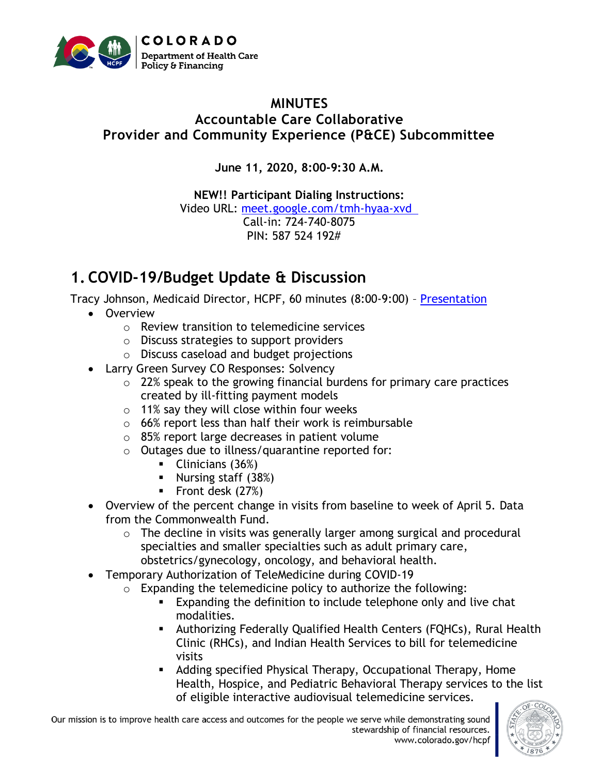

#### **MINUTES Accountable Care Collaborative Provider and Community Experience (P&CE) Subcommittee**

**June 11, 2020, 8:00-9:30 A.M.**

**NEW!! Participant Dialing Instructions:**  Video URL: [meet.google.com/tmh-hyaa-xvd](http://meet.google.com/tmh-hyaa-xvd)  Call-in: 724-740-8075 PIN: 587 524 192#

# **1. COVID-19/Budget Update & Discussion**

Tracy Johnson, Medicaid Director, HCPF, 60 minutes (8:00-9:00) – [Presentation](https://www.colorado.gov/pacific/sites/default/files/Provider%20and%20Community%20Experience%20PIAC%20Subcommittee%20COVID%20and%20Budget%20PowerPoint%20June%202020.pdf)

- Overview
	- o Review transition to telemedicine services
	- o Discuss strategies to support providers
	- o Discuss caseload and budget projections
- Larry Green Survey CO Responses: Solvency
	- o 22% speak to the growing financial burdens for primary care practices created by ill-fitting payment models
	- o 11% say they will close within four weeks
	- $\circ$  66% report less than half their work is reimbursable
	- o 85% report large decreases in patient volume
	- o Outages due to illness/quarantine reported for:
		- Clinicians (36%)
		- Nursing staff  $(38%)$
		- Front desk (27%)
- Overview of the percent change in visits from baseline to week of April 5. Data from the Commonwealth Fund.
	- o The decline in visits was generally larger among surgical and procedural specialties and smaller specialties such as adult primary care, obstetrics/gynecology, oncology, and behavioral health.
- Temporary Authorization of TeleMedicine during COVID-19
	- $\circ$  Expanding the telemedicine policy to authorize the following:
		- Expanding the definition to include telephone only and live chat modalities.
		- **E** Authorizing Federally Qualified Health Centers (FQHCs), Rural Health Clinic (RHCs), and Indian Health Services to bill for telemedicine visits
		- Adding specified Physical Therapy, Occupational Therapy, Home Health, Hospice, and Pediatric Behavioral Therapy services to the list of eligible interactive audiovisual telemedicine services.

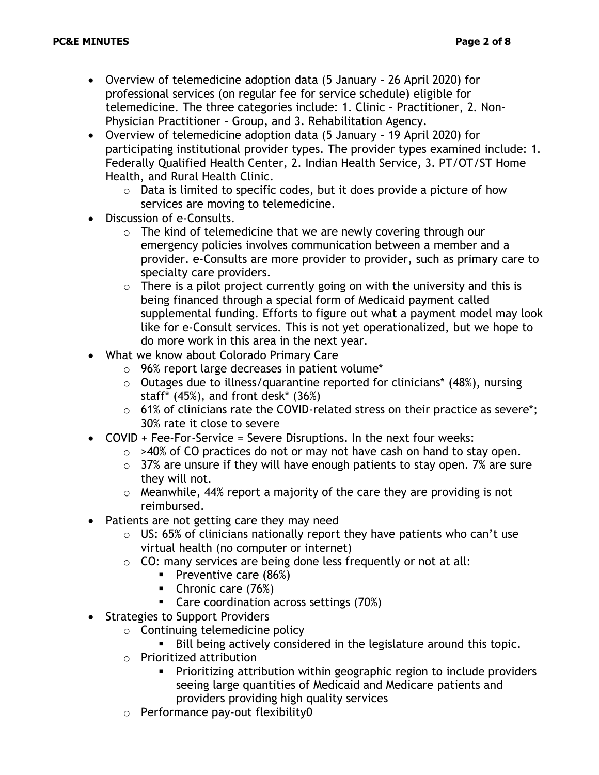- Overview of telemedicine adoption data (5 January 26 April 2020) for professional services (on regular fee for service schedule) eligible for telemedicine. The three categories include: 1. Clinic – Practitioner, 2. Non-Physician Practitioner – Group, and 3. Rehabilitation Agency.
- Overview of telemedicine adoption data (5 January 19 April 2020) for participating institutional provider types. The provider types examined include: 1. Federally Qualified Health Center, 2. Indian Health Service, 3. PT/OT/ST Home Health, and Rural Health Clinic.
	- $\circ$  Data is limited to specific codes, but it does provide a picture of how services are moving to telemedicine.
- Discussion of e-Consults.
	- o The kind of telemedicine that we are newly covering through our emergency policies involves communication between a member and a provider. e-Consults are more provider to provider, such as primary care to specialty care providers.
	- $\circ$  There is a pilot project currently going on with the university and this is being financed through a special form of Medicaid payment called supplemental funding. Efforts to figure out what a payment model may look like for e-Consult services. This is not yet operationalized, but we hope to do more work in this area in the next year.
- What we know about Colorado Primary Care
	- o 96% report large decreases in patient volume\*
	- o Outages due to illness/quarantine reported for clinicians\* (48%), nursing staff\*  $(45%)$ , and front desk\*  $(36%)$
	- o 61% of clinicians rate the COVID-related stress on their practice as severe\*; 30% rate it close to severe
- COVID + Fee-For-Service = Severe Disruptions. In the next four weeks:
	- $\circ$  >40% of CO practices do not or may not have cash on hand to stay open.
	- $\circ$  37% are unsure if they will have enough patients to stay open. 7% are sure they will not.
	- $\circ$  Meanwhile, 44% report a majority of the care they are providing is not reimbursed.
- Patients are not getting care they may need
	- $\circ$  US: 65% of clinicians nationally report they have patients who can't use virtual health (no computer or internet)
	- $\circ$  CO: many services are being done less frequently or not at all:
		- Preventive care (86%)
		- Chronic care (76%)
		- Care coordination across settings (70%)
- Strategies to Support Providers
	- o Continuing telemedicine policy
		- Bill being actively considered in the legislature around this topic.
	- o Prioritized attribution
		- Prioritizing attribution within geographic region to include providers seeing large quantities of Medicaid and Medicare patients and providers providing high quality services
	- o Performance pay-out flexibility0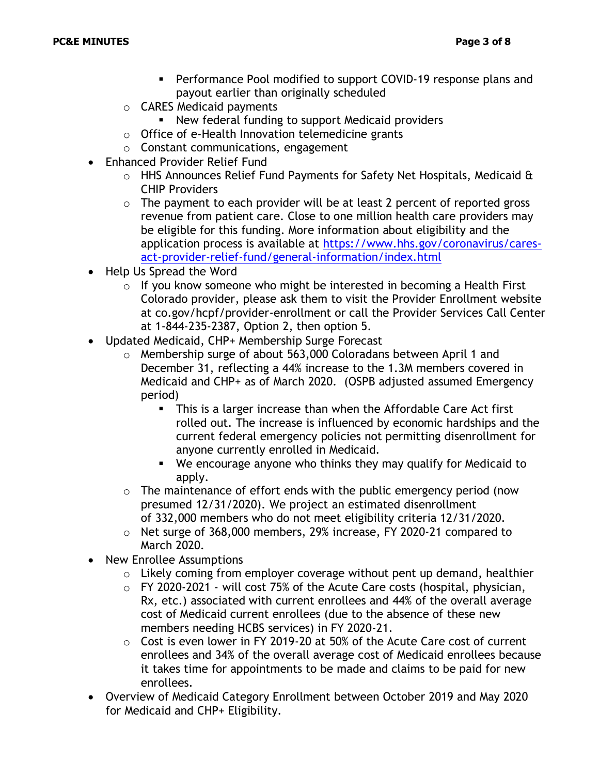- Performance Pool modified to support COVID-19 response plans and payout earlier than originally scheduled
- o CARES Medicaid payments
	- New federal funding to support Medicaid providers
- o Office of e-Health Innovation telemedicine grants
- o Constant communications, engagement
- Enhanced Provider Relief Fund
	- $\circ$  HHS Announces Relief Fund Payments for Safety Net Hospitals, Medicaid & CHIP Providers
	- $\circ$  The payment to each provider will be at least 2 percent of reported gross revenue from patient care. Close to one million health care providers may be eligible for this funding. More information about eligibility and the application process is available at [https://www.hhs.gov/coronavirus/cares](https://www.hhs.gov/coronavirus/cares-act-provider-relief-fund/general-information/index.html)[act-provider-relief-fund/general-information/index.html](https://www.hhs.gov/coronavirus/cares-act-provider-relief-fund/general-information/index.html)
- Help Us Spread the Word
	- o If you know someone who might be interested in becoming a Health First Colorado provider, please ask them to visit the Provider Enrollment website at co.gov/hcpf/provider-enrollment or call the Provider Services Call Center at 1-844-235-2387, Option 2, then option 5.
- Updated Medicaid, CHP+ Membership Surge Forecast
	- o Membership surge of about 563,000 Coloradans between April 1 and December 31, reflecting a 44% increase to the 1.3M members covered in Medicaid and CHP+ as of March 2020. (OSPB adjusted assumed Emergency period)
		- **This is a larger increase than when the Affordable Care Act first** rolled out. The increase is influenced by economic hardships and the current federal emergency policies not permitting disenrollment for anyone currently enrolled in Medicaid.
		- We encourage anyone who thinks they may qualify for Medicaid to apply.
	- $\circ$  The maintenance of effort ends with the public emergency period (now presumed 12/31/2020). We project an estimated disenrollment of 332,000 members who do not meet eligibility criteria 12/31/2020.
	- o Net surge of 368,000 members, 29% increase, FY 2020-21 compared to March 2020.
- New Enrollee Assumptions
	- $\circ$  Likely coming from employer coverage without pent up demand, healthier
	- $\circ$  FY 2020-2021 will cost 75% of the Acute Care costs (hospital, physician, Rx, etc.) associated with current enrollees and 44% of the overall average cost of Medicaid current enrollees (due to the absence of these new members needing HCBS services) in FY 2020-21.
	- o Cost is even lower in FY 2019-20 at 50% of the Acute Care cost of current enrollees and 34% of the overall average cost of Medicaid enrollees because it takes time for appointments to be made and claims to be paid for new enrollees.
- Overview of Medicaid Category Enrollment between October 2019 and May 2020 for Medicaid and CHP+ Eligibility.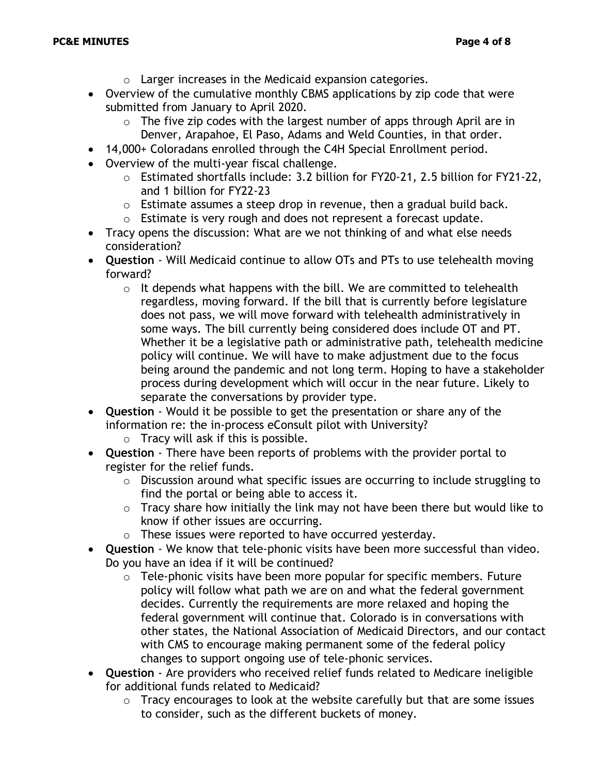- o Larger increases in the Medicaid expansion categories.
- Overview of the cumulative monthly CBMS applications by zip code that were submitted from January to April 2020.
	- $\circ$  The five zip codes with the largest number of apps through April are in Denver, Arapahoe, El Paso, Adams and Weld Counties, in that order.
- 14,000+ Coloradans enrolled through the C4H Special Enrollment period.
- Overview of the multi-year fiscal challenge.
	- o Estimated shortfalls include: 3.2 billion for FY20-21, 2.5 billion for FY21-22, and 1 billion for FY22-23
	- o Estimate assumes a steep drop in revenue, then a gradual build back.
	- o Estimate is very rough and does not represent a forecast update.
- Tracy opens the discussion: What are we not thinking of and what else needs consideration?
- **Question** Will Medicaid continue to allow OTs and PTs to use telehealth moving forward?
	- $\circ$  It depends what happens with the bill. We are committed to telehealth regardless, moving forward. If the bill that is currently before legislature does not pass, we will move forward with telehealth administratively in some ways. The bill currently being considered does include OT and PT. Whether it be a legislative path or administrative path, telehealth medicine policy will continue. We will have to make adjustment due to the focus being around the pandemic and not long term. Hoping to have a stakeholder process during development which will occur in the near future. Likely to separate the conversations by provider type.
- **Question** Would it be possible to get the presentation or share any of the information re: the in-process eConsult pilot with University?
	- $\circ$  Tracy will ask if this is possible.
- **Question** There have been reports of problems with the provider portal to register for the relief funds.
	- o Discussion around what specific issues are occurring to include struggling to find the portal or being able to access it.
	- $\circ$  Tracy share how initially the link may not have been there but would like to know if other issues are occurring.
	- o These issues were reported to have occurred yesterday.
- **Question** We know that tele-phonic visits have been more successful than video. Do you have an idea if it will be continued?
	- $\circ$  Tele-phonic visits have been more popular for specific members. Future policy will follow what path we are on and what the federal government decides. Currently the requirements are more relaxed and hoping the federal government will continue that. Colorado is in conversations with other states, the National Association of Medicaid Directors, and our contact with CMS to encourage making permanent some of the federal policy changes to support ongoing use of tele-phonic services.
- **Question** Are providers who received relief funds related to Medicare ineligible for additional funds related to Medicaid?
	- $\circ$  Tracy encourages to look at the website carefully but that are some issues to consider, such as the different buckets of money.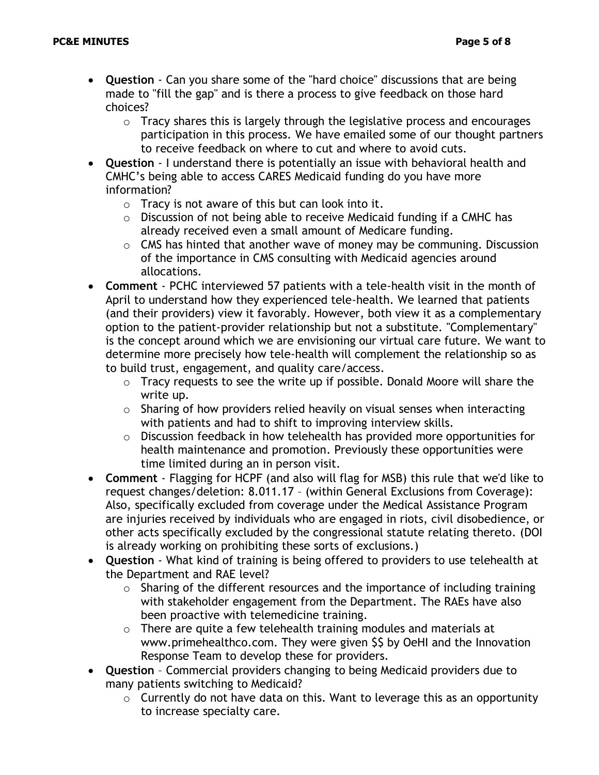- **Question** Can you share some of the "hard choice" discussions that are being made to "fill the gap" and is there a process to give feedback on those hard choices?
	- $\circ$  Tracy shares this is largely through the legislative process and encourages participation in this process. We have emailed some of our thought partners to receive feedback on where to cut and where to avoid cuts.
- **Question** I understand there is potentially an issue with behavioral health and CMHC's being able to access CARES Medicaid funding do you have more information?
	- $\circ$  Tracy is not aware of this but can look into it.
	- o Discussion of not being able to receive Medicaid funding if a CMHC has already received even a small amount of Medicare funding.
	- $\circ$  CMS has hinted that another wave of money may be communing. Discussion of the importance in CMS consulting with Medicaid agencies around allocations.
- **Comment** PCHC interviewed 57 patients with a tele-health visit in the month of April to understand how they experienced tele-health. We learned that patients (and their providers) view it favorably. However, both view it as a complementary option to the patient-provider relationship but not a substitute. "Complementary" is the concept around which we are envisioning our virtual care future. We want to determine more precisely how tele-health will complement the relationship so as to build trust, engagement, and quality care/access.
	- o Tracy requests to see the write up if possible. Donald Moore will share the write up.
	- $\circ$  Sharing of how providers relied heavily on visual senses when interacting with patients and had to shift to improving interview skills.
	- o Discussion feedback in how telehealth has provided more opportunities for health maintenance and promotion. Previously these opportunities were time limited during an in person visit.
- **Comment**  Flagging for HCPF (and also will flag for MSB) this rule that we'd like to request changes/deletion: 8.011.17 – (within General Exclusions from Coverage): Also, specifically excluded from coverage under the Medical Assistance Program are injuries received by individuals who are engaged in riots, civil disobedience, or other acts specifically excluded by the congressional statute relating thereto. (DOI is already working on prohibiting these sorts of exclusions.)
- **Question** What kind of training is being offered to providers to use telehealth at the Department and RAE level?
	- $\circ$  Sharing of the different resources and the importance of including training with stakeholder engagement from the Department. The RAEs have also been proactive with telemedicine training.
	- o There are quite a few telehealth training modules and materials at www.primehealthco.com. They were given \$\$ by OeHI and the Innovation Response Team to develop these for providers.
- **Question** Commercial providers changing to being Medicaid providers due to many patients switching to Medicaid?
	- $\circ$  Currently do not have data on this. Want to leverage this as an opportunity to increase specialty care.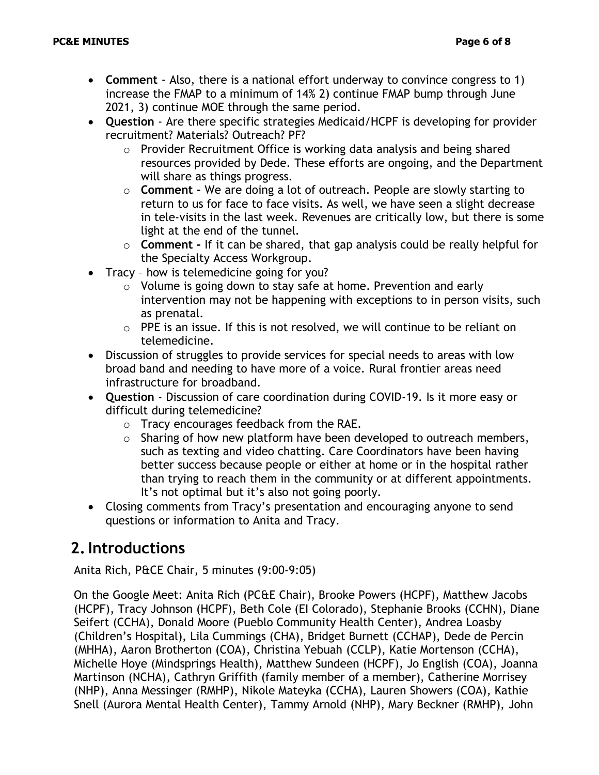- **Comment** Also, there is a national effort underway to convince congress to 1) increase the FMAP to a minimum of 14% 2) continue FMAP bump through June 2021, 3) continue MOE through the same period.
- **Question** Are there specific strategies Medicaid/HCPF is developing for provider recruitment? Materials? Outreach? PF?
	- o Provider Recruitment Office is working data analysis and being shared resources provided by Dede. These efforts are ongoing, and the Department will share as things progress.
	- o **Comment -** We are doing a lot of outreach. People are slowly starting to return to us for face to face visits. As well, we have seen a slight decrease in tele-visits in the last week. Revenues are critically low, but there is some light at the end of the tunnel.
	- o **Comment -** If it can be shared, that gap analysis could be really helpful for the Specialty Access Workgroup.
- Tracy how is telemedicine going for you?
	- o Volume is going down to stay safe at home. Prevention and early intervention may not be happening with exceptions to in person visits, such as prenatal.
	- o PPE is an issue. If this is not resolved, we will continue to be reliant on telemedicine.
- Discussion of struggles to provide services for special needs to areas with low broad band and needing to have more of a voice. Rural frontier areas need infrastructure for broadband.
- **Question** Discussion of care coordination during COVID-19. Is it more easy or difficult during telemedicine?
	- o Tracy encourages feedback from the RAE.
	- o Sharing of how new platform have been developed to outreach members, such as texting and video chatting. Care Coordinators have been having better success because people or either at home or in the hospital rather than trying to reach them in the community or at different appointments. It's not optimal but it's also not going poorly.
- Closing comments from Tracy's presentation and encouraging anyone to send questions or information to Anita and Tracy.

## **2.Introductions**

Anita Rich, P&CE Chair, 5 minutes (9:00-9:05)

On the Google Meet: Anita Rich (PC&E Chair), Brooke Powers (HCPF), Matthew Jacobs (HCPF), Tracy Johnson (HCPF), Beth Cole (EI Colorado), Stephanie Brooks (CCHN), Diane Seifert (CCHA), Donald Moore (Pueblo Community Health Center), Andrea Loasby (Children's Hospital), Lila Cummings (CHA), Bridget Burnett (CCHAP), Dede de Percin (MHHA), Aaron Brotherton (COA), Christina Yebuah (CCLP), Katie Mortenson (CCHA), Michelle Hoye (Mindsprings Health), Matthew Sundeen (HCPF), Jo English (COA), Joanna Martinson (NCHA), Cathryn Griffith (family member of a member), Catherine Morrisey (NHP), Anna Messinger (RMHP), Nikole Mateyka (CCHA), Lauren Showers (COA), Kathie Snell (Aurora Mental Health Center), Tammy Arnold (NHP), Mary Beckner (RMHP), John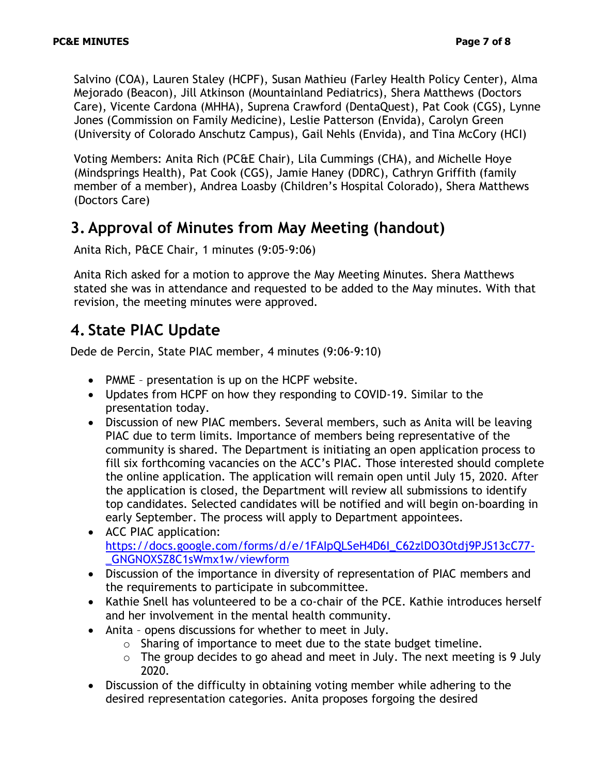Salvino (COA), Lauren Staley (HCPF), Susan Mathieu (Farley Health Policy Center), Alma Mejorado (Beacon), Jill Atkinson (Mountainland Pediatrics), Shera Matthews (Doctors Care), Vicente Cardona (MHHA), Suprena Crawford (DentaQuest), Pat Cook (CGS), Lynne Jones (Commission on Family Medicine), Leslie Patterson (Envida), Carolyn Green (University of Colorado Anschutz Campus), Gail Nehls (Envida), and Tina McCory (HCI)

Voting Members: Anita Rich (PC&E Chair), Lila Cummings (CHA), and Michelle Hoye (Mindsprings Health), Pat Cook (CGS), Jamie Haney (DDRC), Cathryn Griffith (family member of a member), Andrea Loasby (Children's Hospital Colorado), Shera Matthews (Doctors Care)

### **3. Approval of Minutes from May Meeting (handout)**

Anita Rich, P&CE Chair, 1 minutes (9:05-9:06)

Anita Rich asked for a motion to approve the May Meeting Minutes. Shera Matthews stated she was in attendance and requested to be added to the May minutes. With that revision, the meeting minutes were approved.

## **4. State PIAC Update**

Dede de Percin, State PIAC member, 4 minutes (9:06-9:10)

- PMME presentation is up on the HCPF website.
- Updates from HCPF on how they responding to COVID-19. Similar to the presentation today.
- Discussion of new PIAC members. Several members, such as Anita will be leaving PIAC due to term limits. Importance of members being representative of the community is shared. The Department is initiating an open application process to fill six forthcoming vacancies on the ACC's PIAC. Those interested should complete the online application. The application will remain open until July 15, 2020. After the application is closed, the Department will review all submissions to identify top candidates. Selected candidates will be notified and will begin on-boarding in early September. The process will apply to Department appointees.
- ACC PIAC application: [https://docs.google.com/forms/d/e/1FAIpQLSeH4D6I\\_C62zlDO3Otdj9PJS13cC77-](https://docs.google.com/forms/d/e/1FAIpQLSeH4D6I_C62zlDO3Otdj9PJS13cC77-_GNGNOXSZ8C1sWmx1w/viewform) [\\_GNGNOXSZ8C1sWmx1w/viewform](https://docs.google.com/forms/d/e/1FAIpQLSeH4D6I_C62zlDO3Otdj9PJS13cC77-_GNGNOXSZ8C1sWmx1w/viewform)
- Discussion of the importance in diversity of representation of PIAC members and the requirements to participate in subcommittee.
- Kathie Snell has volunteered to be a co-chair of the PCE. Kathie introduces herself and her involvement in the mental health community.
- Anita opens discussions for whether to meet in July.
	- o Sharing of importance to meet due to the state budget timeline.
	- $\circ$  The group decides to go ahead and meet in July. The next meeting is 9 July 2020.
- Discussion of the difficulty in obtaining voting member while adhering to the desired representation categories. Anita proposes forgoing the desired